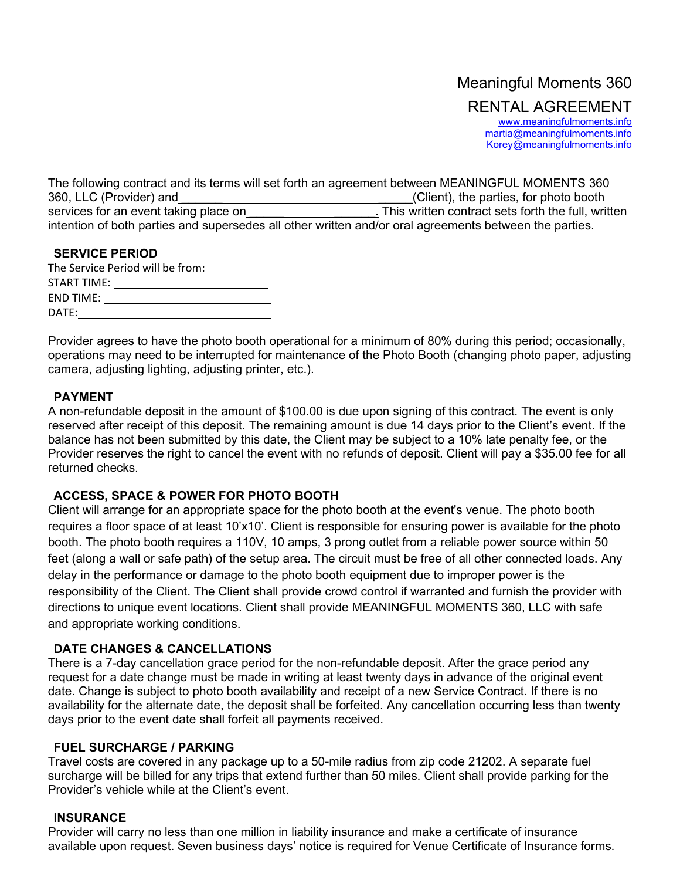# Meaningful Moments 360 RENTAL AGREEMENT [www.meaningfulmoments.info](http://www.meaningfulmoments.info/)

[martia@meaningfulmoments.info](mailto:martia@meaningfulmoments.info) Korey@meaningfulmoments.info

The following contract and its terms will set forth an agreement between MEANINGFUL MOMENTS 360 360, LLC (Provider) and<br>
services for an event taking place on **Exercise 2.1 Client**), the parties, for photo booth<br>
This written contract sets forth the full, written services for an event taking place on\_\_\_\_\_\_ intention of both parties and supersedes all other written and/or oral agreements between the parties.

| <b>SERVICE PERIOD</b>            |  |
|----------------------------------|--|
| The Service Period will be from: |  |
| START TIME: I                    |  |
| END TIME:                        |  |
| DATE:                            |  |

Provider agrees to have the photo booth operational for a minimum of 80% during this period; occasionally, operations may need to be interrupted for maintenance of the Photo Booth (changing photo paper, adjusting camera, adjusting lighting, adjusting printer, etc.).

# **PAYMENT**

A non-refundable deposit in the amount of \$100.00 is due upon signing of this contract. The event is only reserved after receipt of this deposit. The remaining amount is due 14 days prior to the Client's event. If the balance has not been submitted by this date, the Client may be subject to a 10% late penalty fee, or the Provider reserves the right to cancel the event with no refunds of deposit. Client will pay a \$35.00 fee for all returned checks.

# **ACCESS, SPACE & POWER FOR PHOTO BOOTH**

Client will arrange for an appropriate space for the photo booth at the event's venue. The photo booth requires a floor space of at least 10'x10'. Client is responsible for ensuring power is available for the photo booth. The photo booth requires a 110V, 10 amps, 3 prong outlet from a reliable power source within 50 feet (along a wall or safe path) of the setup area. The circuit must be free of all other connected loads. Any delay in the performance or damage to the photo booth equipment due to improper power is the responsibility of the Client. The Client shall provide crowd control if warranted and furnish the provider with directions to unique event locations. Client shall provide MEANINGFUL MOMENTS 360, LLC with safe and appropriate working conditions.

# **DATE CHANGES & CANCELLATIONS**

There is a 7-day cancellation grace period for the non-refundable deposit. After the grace period any request for a date change must be made in writing at least twenty days in advance of the original event date. Change is subject to photo booth availability and receipt of a new Service Contract. If there is no availability for the alternate date, the deposit shall be forfeited. Any cancellation occurring less than twenty days prior to the event date shall forfeit all payments received.

# **FUEL SURCHARGE / PARKING**

Travel costs are covered in any package up to a 50-mile radius from zip code 21202. A separate fuel surcharge will be billed for any trips that extend further than 50 miles. Client shall provide parking for the Provider's vehicle while at the Client's event.

# **INSURANCE**

Provider will carry no less than one million in liability insurance and make a certificate of insurance available upon request. Seven business days' notice is required for Venue Certificate of Insurance forms.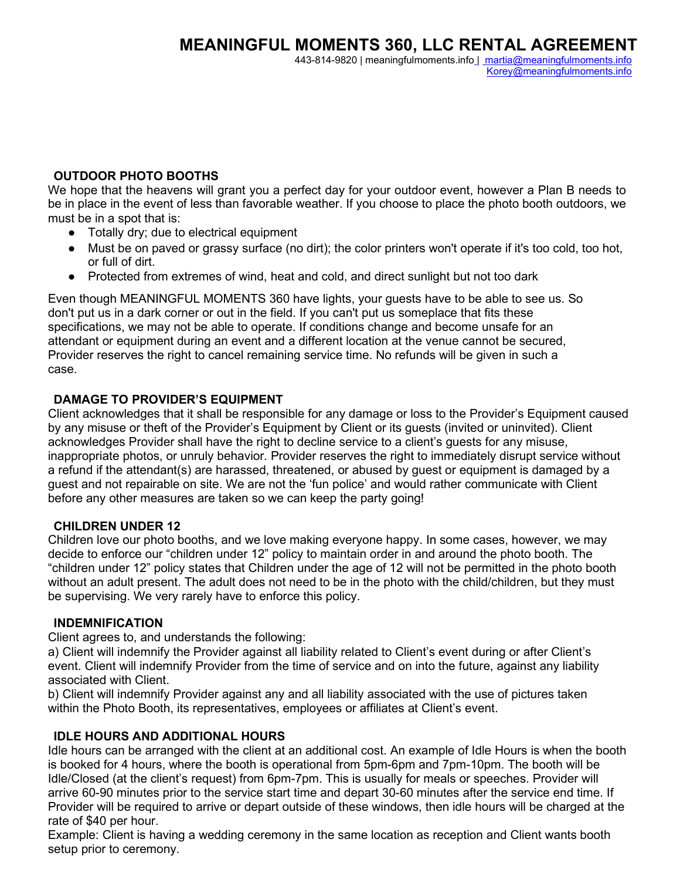443-814-9820 | meaningfulmoments.info | [martia@meaningfulmoments.](mailto:%20martia@meaningfulmoments)info Korey@meaningfulmoments.info

## **OUTDOOR PHOTO BOOTHS**

We hope that the heavens will grant you a perfect day for your outdoor event, however a Plan B needs to be in place in the event of less than favorable weather. If you choose to place the photo booth outdoors, we must be in a spot that is:

- Totally dry; due to electrical equipment
- Must be on paved or grassy surface (no dirt); the color printers won't operate if it's too cold, too hot, or full of dirt.
- Protected from extremes of wind, heat and cold, and direct sunlight but not too dark

Even though MEANINGFUL MOMENTS 360 have lights, your guests have to be able to see us. So don't put us in a dark corner or out in the field. If you can't put us someplace that fits these specifications, we may not be able to operate. If conditions change and become unsafe for an attendant or equipment during an event and a different location at the venue cannot be secured, Provider reserves the right to cancel remaining service time. No refunds will be given in such a case.

# **DAMAGE TO PROVIDER'S EQUIPMENT**

Client acknowledges that it shall be responsible for any damage or loss to the Provider's Equipment caused by any misuse or theft of the Provider's Equipment by Client or its guests (invited or uninvited). Client acknowledges Provider shall have the right to decline service to a client's guests for any misuse, inappropriate photos, or unruly behavior. Provider reserves the right to immediately disrupt service without a refund if the attendant(s) are harassed, threatened, or abused by guest or equipment is damaged by a guest and not repairable on site. We are not the 'fun police' and would rather communicate with Client before any other measures are taken so we can keep the party going!

#### **CHILDREN UNDER 12**

Children love our photo booths, and we love making everyone happy. In some cases, however, we may decide to enforce our "children under 12" policy to maintain order in and around the photo booth. The "children under 12" policy states that Children under the age of 12 will not be permitted in the photo booth without an adult present. The adult does not need to be in the photo with the child/children, but they must be supervising. We very rarely have to enforce this policy.

#### **INDEMNIFICATION**

Client agrees to, and understands the following:

a) Client will indemnify the Provider against all liability related to Client's event during or after Client's event. Client will indemnify Provider from the time of service and on into the future, against any liability associated with Client.

b) Client will indemnify Provider against any and all liability associated with the use of pictures taken within the Photo Booth, its representatives, employees or affiliates at Client's event.

#### **IDLE HOURS AND ADDITIONAL HOURS**

Idle hours can be arranged with the client at an additional cost. An example of Idle Hours is when the booth is booked for 4 hours, where the booth is operational from 5pm-6pm and 7pm-10pm. The booth will be Idle/Closed (at the client's request) from 6pm-7pm. This is usually for meals or speeches. Provider will arrive 60-90 minutes prior to the service start time and depart 30-60 minutes after the service end time. If Provider will be required to arrive or depart outside of these windows, then idle hours will be charged at the rate of \$40 per hour.

Example: Client is having a wedding ceremony in the same location as reception and Client wants booth setup prior to ceremony.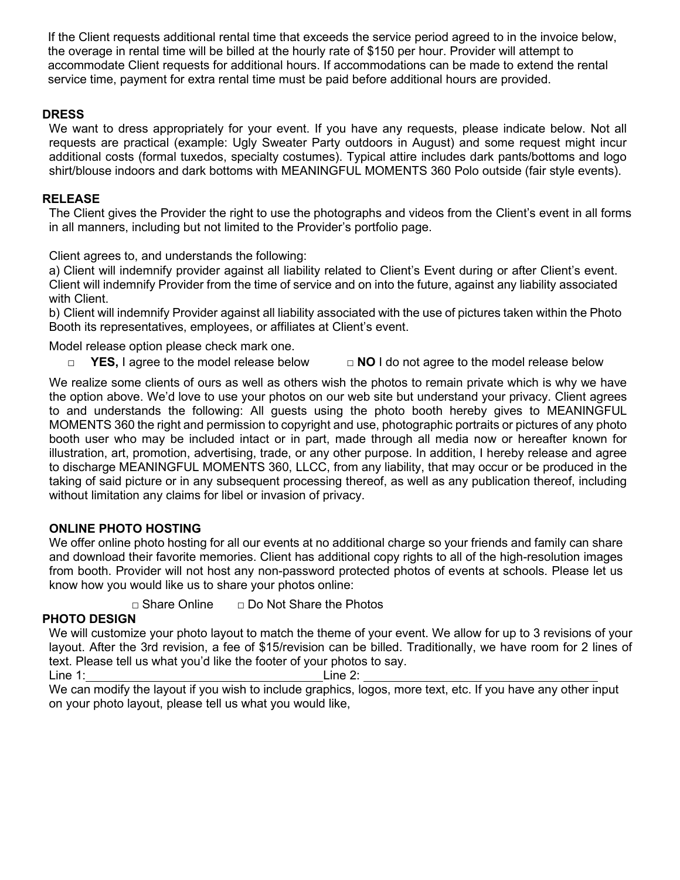If the Client requests additional rental time that exceeds the service period agreed to in the invoice below, the overage in rental time will be billed at the hourly rate of \$150 per hour. Provider will attempt to accommodate Client requests for additional hours. If accommodations can be made to extend the rental service time, payment for extra rental time must be paid before additional hours are provided.

# **DRESS**

We want to dress appropriately for your event. If you have any requests, please indicate below. Not all requests are practical (example: Ugly Sweater Party outdoors in August) and some request might incur additional costs (formal tuxedos, specialty costumes). Typical attire includes dark pants/bottoms and logo shirt/blouse indoors and dark bottoms with MEANINGFUL MOMENTS 360 Polo outside (fair style events).

# **RELEASE**

The Client gives the Provider the right to use the photographs and videos from the Client's event in all forms in all manners, including but not limited to the Provider's portfolio page.

Client agrees to, and understands the following:

a) Client will indemnify provider against all liability related to Client's Event during or after Client's event. Client will indemnify Provider from the time of service and on into the future, against any liability associated with Client.

b) Client will indemnify Provider against all liability associated with the use of pictures taken within the Photo Booth its representatives, employees, or affiliates at Client's event.

Model release option please check mark one.

□ YES, I agree to the model release below □ **NO** I do not agree to the model release below

We realize some clients of ours as well as others wish the photos to remain private which is why we have the option above. We'd love to use your photos on our web site but understand your privacy. Client agrees to and understands the following: All guests using the photo booth hereby gives to MEANINGFUL MOMENTS 360 the right and permission to copyright and use, photographic portraits or pictures of any photo booth user who may be included intact or in part, made through all media now or hereafter known for illustration, art, promotion, advertising, trade, or any other purpose. In addition, I hereby release and agree to discharge MEANINGFUL MOMENTS 360, LLCC, from any liability, that may occur or be produced in the taking of said picture or in any subsequent processing thereof, as well as any publication thereof, including without limitation any claims for libel or invasion of privacy.

# **ONLINE PHOTO HOSTING**

We offer online photo hosting for all our events at no additional charge so your friends and family can share and download their favorite memories. Client has additional copy rights to all of the high-resolution images from booth. Provider will not host any non-password protected photos of events at schools. Please let us know how you would like us to share your photos online:

□ Share Online □ Do Not Share the Photos

# **PHOTO DESIGN**

We will customize your photo layout to match the theme of your event. We allow for up to 3 revisions of your layout. After the 3rd revision, a fee of \$15/revision can be billed. Traditionally, we have room for 2 lines of text. Please tell us what you'd like the footer of your photos to say.

Line 1: Line 2:

We can modify the layout if you wish to include graphics, logos, more text, etc. If you have any other input on your photo layout, please tell us what you would like,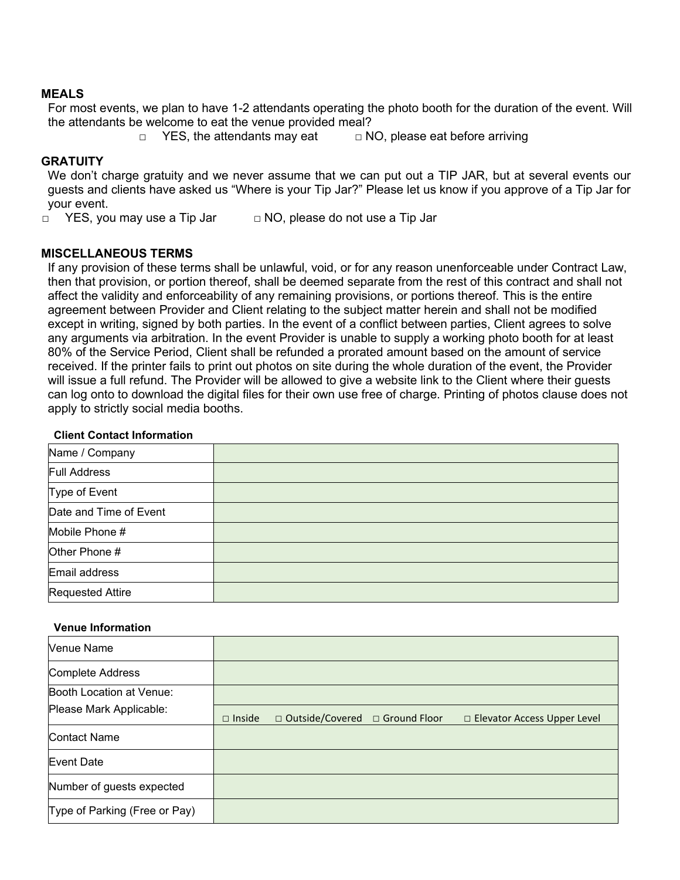#### **MEALS**

For most events, we plan to have 1-2 attendants operating the photo booth for the duration of the event. Will the attendants be welcome to eat the venue provided meal?

□ YES, the attendants may eat □ NO, please eat before arriving

## **GRATUITY**

We don't charge gratuity and we never assume that we can put out a TIP JAR, but at several events our guests and clients have asked us "Where is your Tip Jar?" Please let us know if you approve of a Tip Jar for your event.

 $\Box$  YES, you may use a Tip Jar  $\Box$  NO, please do not use a Tip Jar

## **MISCELLANEOUS TERMS**

If any provision of these terms shall be unlawful, void, or for any reason unenforceable under Contract Law, then that provision, or portion thereof, shall be deemed separate from the rest of this contract and shall not affect the validity and enforceability of any remaining provisions, or portions thereof. This is the entire agreement between Provider and Client relating to the subject matter herein and shall not be modified except in writing, signed by both parties. In the event of a conflict between parties, Client agrees to solve any arguments via arbitration. In the event Provider is unable to supply a working photo booth for at least 80% of the Service Period, Client shall be refunded a prorated amount based on the amount of service received. If the printer fails to print out photos on site during the whole duration of the event, the Provider will issue a full refund. The Provider will be allowed to give a website link to the Client where their guests can log onto to download the digital files for their own use free of charge. Printing of photos clause does not apply to strictly social media booths.

#### **Client Contact Information**

| Name / Company          |  |
|-------------------------|--|
| <b>Full Address</b>     |  |
| Type of Event           |  |
| Date and Time of Event  |  |
| Mobile Phone #          |  |
| Other Phone #           |  |
| Email address           |  |
| <b>Requested Attire</b> |  |

#### **Venue Information**

| Venue Name                    |               |                                  |                                    |
|-------------------------------|---------------|----------------------------------|------------------------------------|
| Complete Address              |               |                                  |                                    |
| Booth Location at Venue:      |               |                                  |                                    |
| Please Mark Applicable:       | $\Box$ Inside | □ Outside/Covered □ Ground Floor | $\Box$ Elevator Access Upper Level |
| Contact Name                  |               |                                  |                                    |
| Event Date                    |               |                                  |                                    |
| Number of guests expected     |               |                                  |                                    |
| Type of Parking (Free or Pay) |               |                                  |                                    |